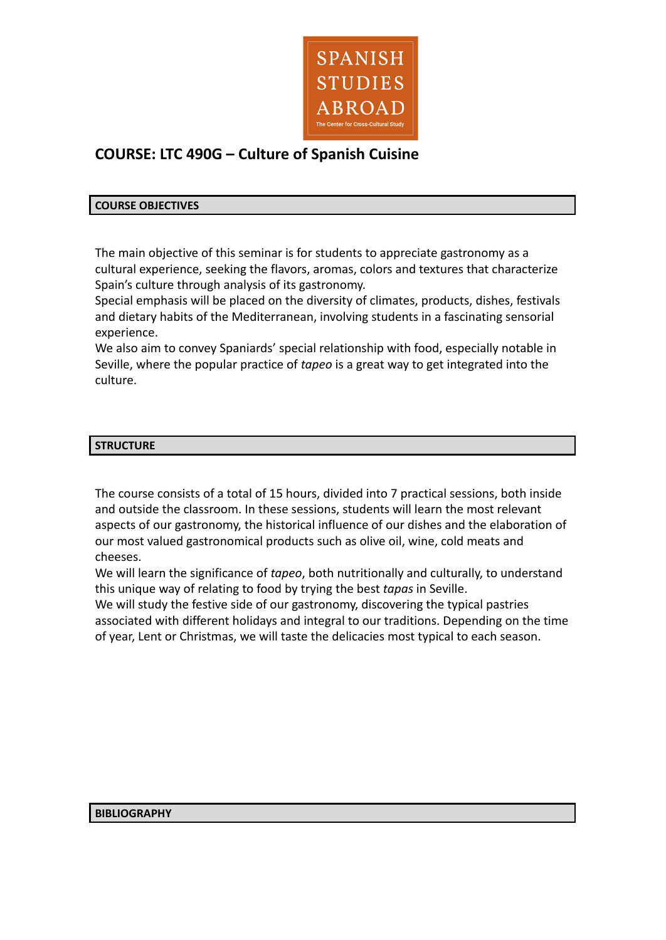

# **COURSE: LTC 490G – Culture of Spanish Cuisine**

#### **COURSE OBJECTIVES**

The main objective of this seminar is for students to appreciate gastronomy as a cultural experience, seeking the flavors, aromas, colors and textures that characterize Spain's culture through analysis of its gastronomy.

Special emphasis will be placed on the diversity of climates, products, dishes, festivals and dietary habits of the Mediterranean, involving students in a fascinating sensorial experience.

We also aim to convey Spaniards' special relationship with food, especially notable in Seville, where the popular practice of *tapeo* is a great way to get integrated into the culture.

## **STRUCTURE**

The course consists of a total of 15 hours, divided into 7 practical sessions, both inside and outside the classroom. In these sessions, students will learn the most relevant aspects of our gastronomy, the historical influence of our dishes and the elaboration of our most valued gastronomical products such as olive oil, wine, cold meats and cheeses.

We will learn the significance of *tapeo*, both nutritionally and culturally, to understand this unique way of relating to food by trying the best *tapas* in Seville.

We will study the festive side of our gastronomy, discovering the typical pastries associated with different holidays and integral to our traditions. Depending on the time of year, Lent or Christmas, we will taste the delicacies most typical to each season.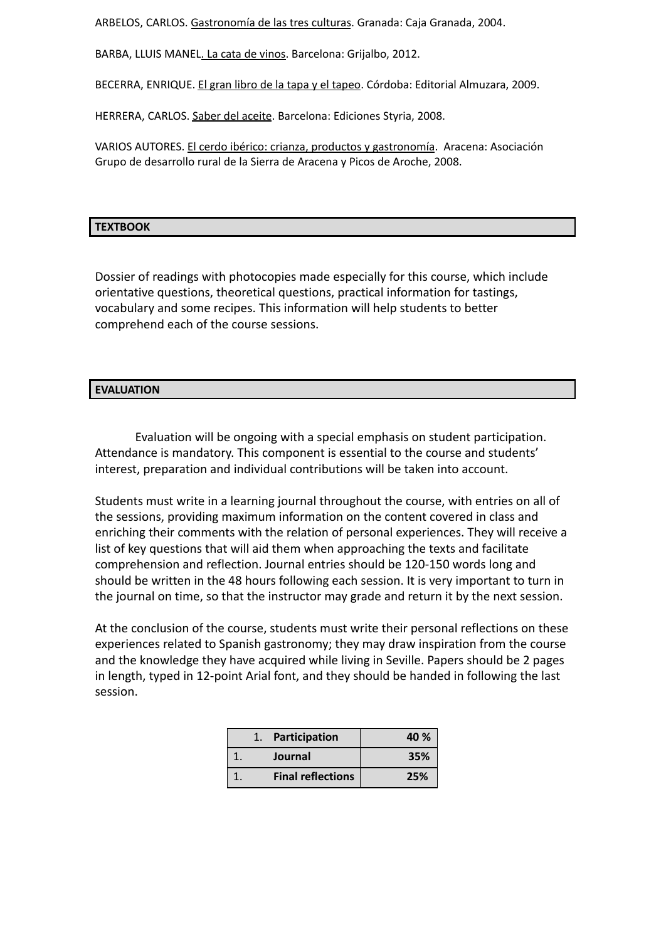ARBELOS, CARLOS. Gastronomía de las tres culturas. Granada: Caja Granada, 2004.

BARBA, LLUIS MANEL. La cata de vinos. Barcelona: Grijalbo, 2012.

BECERRA, ENRIQUE. El gran libro de la tapa y el tapeo. Córdoba: Editorial Almuzara, 2009.

HERRERA, CARLOS. Saber del aceite. Barcelona: Ediciones Styria, 2008.

VARIOS AUTORES. El cerdo ibérico: crianza, productos y gastronomía. Aracena: Asociación Grupo de desarrollo rural de la Sierra de Aracena y Picos de Aroche, 2008.

#### **TEXTBOOK**

Dossier of readings with photocopies made especially for this course, which include orientative questions, theoretical questions, practical information for tastings, vocabulary and some recipes. This information will help students to better comprehend each of the course sessions.

## **EVALUATION**

Evaluation will be ongoing with a special emphasis on student participation. Attendance is mandatory. This component is essential to the course and students' interest, preparation and individual contributions will be taken into account.

Students must write in a learning journal throughout the course, with entries on all of the sessions, providing maximum information on the content covered in class and enriching their comments with the relation of personal experiences. They will receive a list of key questions that will aid them when approaching the texts and facilitate comprehension and reflection. Journal entries should be 120-150 words long and should be written in the 48 hours following each session. It is very important to turn in the journal on time, so that the instructor may grade and return it by the next session.

At the conclusion of the course, students must write their personal reflections on these experiences related to Spanish gastronomy; they may draw inspiration from the course and the knowledge they have acquired while living in Seville. Papers should be 2 pages in length, typed in 12-point Arial font, and they should be handed in following the last session.

|  | Participation            | 40 % |
|--|--------------------------|------|
|  | Journal                  | 35%  |
|  | <b>Final reflections</b> | 25%  |